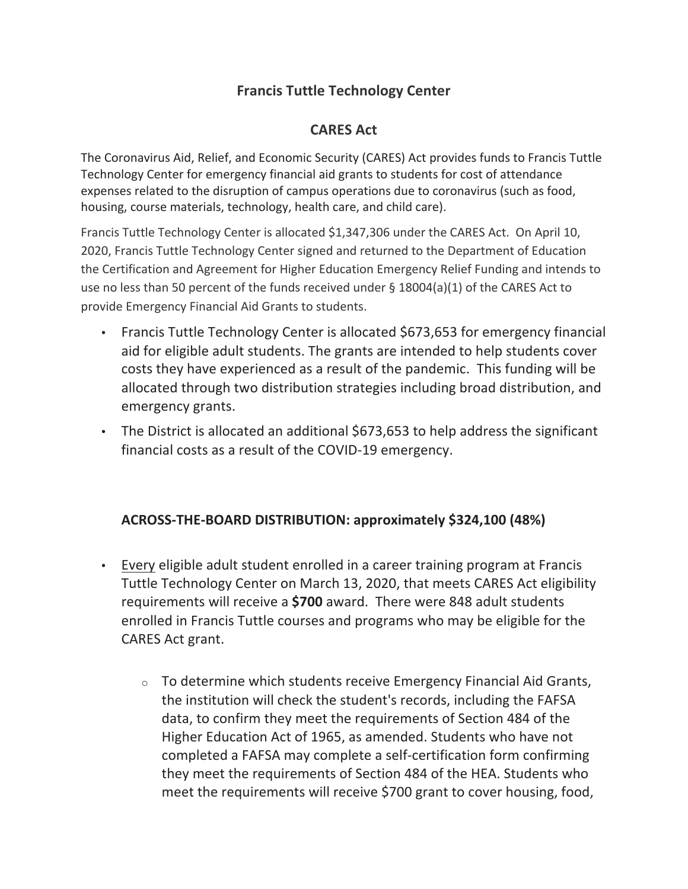# **Francis Tuttle Technology Center**

# **CARES** Act

The Coronavirus Aid, Relief, and Economic Security (CARES) Act provides funds to Francis Tuttle Technology Center for emergency financial aid grants to students for cost of attendance expenses related to the disruption of campus operations due to coronavirus (such as food, housing, course materials, technology, health care, and child care).

Francis Tuttle Technology Center is allocated \$1,347,306 under the CARES Act. On April 10, 2020, Francis Tuttle Technology Center signed and returned to the Department of Education the Certification and Agreement for Higher Education Emergency Relief Funding and intends to use no less than 50 percent of the funds received under § 18004(a)(1) of the CARES Act to provide Emergency Financial Aid Grants to students.

- Francis Tuttle Technology Center is allocated \$673,653 for emergency financial aid for eligible adult students. The grants are intended to help students cover costs they have experienced as a result of the pandemic. This funding will be allocated through two distribution strategies including broad distribution, and emergency grants.
- The District is allocated an additional \$673,653 to help address the significant financial costs as a result of the COVID-19 emergency.

# **ACROSS-THE-BOARD DISTRIBUTION: approximately \$324,100 (48%)**

- Every eligible adult student enrolled in a career training program at Francis Tuttle Technology Center on March 13, 2020, that meets CARES Act eligibility requirements will receive a **\$700** award. There were 848 adult students enrolled in Francis Tuttle courses and programs who may be eligible for the CARES Act grant.
	- $\circ$  To determine which students receive Emergency Financial Aid Grants, the institution will check the student's records, including the FAFSA data, to confirm they meet the requirements of Section 484 of the Higher Education Act of 1965, as amended. Students who have not completed a FAFSA may complete a self-certification form confirming they meet the requirements of Section 484 of the HEA. Students who meet the requirements will receive \$700 grant to cover housing, food,